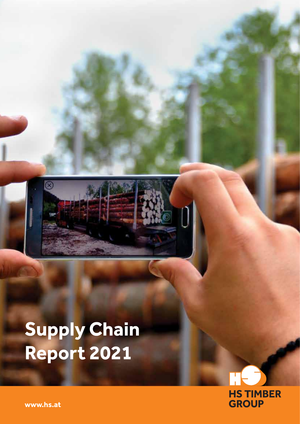# **Supply Chain** Report 2021



www.hs.at

 $\overline{\otimes}$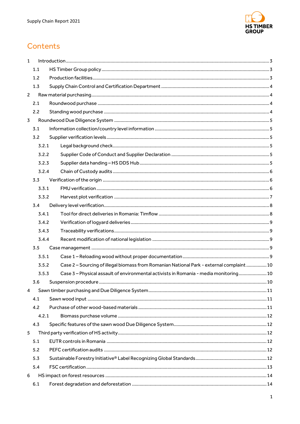

# Contents

| $\mathbf{1}$   |       |                                                                                           |  |
|----------------|-------|-------------------------------------------------------------------------------------------|--|
|                | 1.1   |                                                                                           |  |
|                | 1.2   |                                                                                           |  |
|                | 1.3   |                                                                                           |  |
| $\overline{2}$ |       |                                                                                           |  |
|                | 2.1   |                                                                                           |  |
|                | 2.2   |                                                                                           |  |
| 3              |       |                                                                                           |  |
|                | 3.1   |                                                                                           |  |
|                | 3.2   |                                                                                           |  |
|                | 3.2.1 |                                                                                           |  |
|                | 3.2.2 |                                                                                           |  |
|                | 3.2.3 |                                                                                           |  |
|                | 3.2.4 |                                                                                           |  |
|                | 3.3   |                                                                                           |  |
|                | 3.3.1 |                                                                                           |  |
|                | 3.3.2 |                                                                                           |  |
|                | 3.4   |                                                                                           |  |
|                | 3.4.1 |                                                                                           |  |
|                | 3.4.2 |                                                                                           |  |
|                | 3.4.3 |                                                                                           |  |
|                | 3.4.4 |                                                                                           |  |
|                | 3.5   |                                                                                           |  |
|                | 3.5.1 |                                                                                           |  |
|                | 3.5.2 | Case 2 - Sourcing of illegal biomass from Romanian National Park - external complaint  10 |  |
|                | 3.5.3 | Case 3 - Physical assault of environmental activists in Romania - media monitoring 10     |  |
|                | 3.6   |                                                                                           |  |
| 4              |       |                                                                                           |  |
|                | 4.1   |                                                                                           |  |
|                | 4.2   |                                                                                           |  |
|                | 4.2.1 |                                                                                           |  |
|                | 4.3   |                                                                                           |  |
| 5              |       |                                                                                           |  |
|                | 5.1   |                                                                                           |  |
|                | 5.2   |                                                                                           |  |
|                | 5.3   |                                                                                           |  |
|                | 5.4   |                                                                                           |  |
| 6              |       |                                                                                           |  |
|                | 6.1   |                                                                                           |  |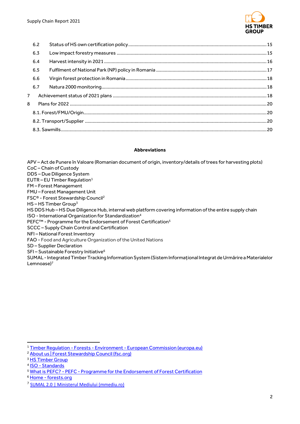

|             | 6.2 |  |  |  |  |
|-------------|-----|--|--|--|--|
|             | 6.3 |  |  |  |  |
|             | 6.4 |  |  |  |  |
|             | 6.5 |  |  |  |  |
|             | 6.6 |  |  |  |  |
|             | 6.7 |  |  |  |  |
| $7^{\circ}$ |     |  |  |  |  |
| 8           |     |  |  |  |  |
|             |     |  |  |  |  |
|             |     |  |  |  |  |
|             |     |  |  |  |  |

#### **Abbreviations**

APV – Act de Punere în Valoare (Romanian document of origin, inventory/details of trees for harvesting plots) CoC – Chain of Custody DDS – Due Diligence System EUTR – EU Timber Regulation $1$ FM – Forest Management FMU – Forest Management Unit FSC® - Forest Stewardship Council<sup>2</sup> HS – HS Timber Group<sup>3</sup> HS DDS Hub – HS Due Diligence Hub, internal web platform covering information of the entire supply chain ISO - International Organization for Standardization<sup>4</sup> PEFC™ - Programme for the Endorsement of Forest Certification<sup>5</sup> SCCC – Supply Chain Control and Certification NFI – National Forest Inventory FAO - Food and Agriculture Organization of the United Nations SD – Supplier Declaration SFI – Sustainable Forestry Initiative<sup>6</sup> SUMAL- Integrated Timber Tracking Information System (Sistem Informațional Integrat de Urmărire a Materialelor Lemnoase) 7

:

<sup>1</sup> Timber Regulation - Forests - Environment - [European Commission \(europa.eu\)](https://ec.europa.eu/environment/forests/timber_regulation.htm)

<sup>&</sup>lt;sup>2</sup> [About us | Forest Stewardship Council \(fsc.org\)](https://fsc.org/en/about-us)

<sup>&</sup>lt;sup>3</sup> [HS Timber Group](https://hs.at/en/index.html)

<sup>4</sup> ISO - [Standards](https://www.iso.org/standards.html)

<sup>5</sup> What is PEFC? - PEFC - [Programme for the Endorsement of Forest Certification](https://www.pefc.org/discover-pefc/what-is-pefc)

<sup>6</sup> Home - [forests.org](https://www.forests.org/)

<sup>&</sup>lt;sup>7</sup> [SUMAL 2.0 | Ministerul Mediului \(mmediu.ro\)](http://www.mmediu.ro/categorie/sumal-2-0/321)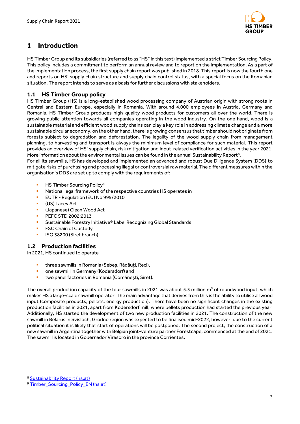

# <span id="page-3-0"></span>**1 Introduction**

HS Timber Group and its subsidiaries (referred to as "HS" in this text) implemented a strict Timber Sourcing Policy. This policy includes a commitment to perform an annual review and to report on the implementation. As a part of the implementation process, the first supply chain report was published in 2018. This report is now the fourth one and reports on HS' supply chain structure and supply chain control status, with a special focus on the Romanian situation. The report intends to serve as a basis for further discussions with stakeholders.

# <span id="page-3-1"></span>**1.1 HS Timber Group policy**

HS Timber Group (HS) is a long-established wood processing company of Austrian origin with strong roots in Central and Eastern Europe, especially in Romania. With around 4,000 employees in Austria, Germany and Romania, HS Timber Group produces high-quality wood products for customers all over the world. There is growing public attention towards all companies operating in the wood industry. On the one hand, wood is a sustainable material and efficient wood supply chains can play a key role in addressing climate change and a more sustainable circular economy, on the other hand, there is growing consensus that timber should not originate from forests subject to degradation and deforestation. The legality of the wood supply chain from management planning, to harvesting and transport is always the minimum level of compliance for such material. This report provides an overview of HS' supply chain, risk mitigation and input-related verification activities in the year 2021. More information about the environmental issues can be found in the annual Sustainability Report<sup>8</sup>.

For all its sawmills, HS has developed and implemented an advanced and robust Due Diligence System (DDS) to mitigate risks of purchasing and processing illegal or controversial raw material. The different measures within the organisation's DDS are set up to comply with the requirements of:

- HS Timber Sourcing Policy<sup>9</sup>
- National legal framework of the respective countries HS operates in
- **EUTR Regulation (EU) No 995/2010**
- (US) Lacey Act
- (Japanese) Clean Wood Act
- **PEFC STD 2002:2013**
- Sustainable Forestry Initiative® Label Recognizing Global Standards
- **•** FSC Chain of Custody
- ISO 38200 (Siret branch)

## <span id="page-3-2"></span>**1.2 Production facilities**

In 2021, HS continued to operate

- **·** three sawmills in Romania (Sebeș, Rădăuți, Reci),
- one sawmill in Germany (Kodersdorf) and
- two panel factories in Romania (Comănești, Siret).

The overall production capacity of the four sawmills in 2021 was about 5.3 million  $m<sup>3</sup>$  of roundwood input, which makes HS a large-scale sawmill operator. The main advantage that derives from this is the ability to utilise all wood input (composite products, pellets, energy production). There have been no significant changes in the existing production facilities in 2021, apart from Kodersdorf mill, where pellets production had started the previous year. Additionally, HS started the development of two new production facilities in 2021. The construction of the new sawmill in Belarus in Svisloch, Grodno region was expected to be finalised mid-2022, however, due to the current political situation it is likely that start of operations will be postponed. The second project, the construction of a new sawmill in Argentina together with Belgian joint-venture partner Forestcape, commenced at the end of 2021. The sawmill is located in Gobernador Virasoro in the province Corrientes.

.

<sup>8</sup> [Sustainability Report \(hs.at\)](https://hs.at/en/responsibility/sustainability-process/sustainability-report.html)

<sup>9</sup> [Timber\\_Sourcing\\_Policy\\_EN \(hs.at\)](https://hs.at/fileadmin/files/Responsibility/Timber_Sourcing_Policy/Timber_Sourcing_Policy_EN.pdf)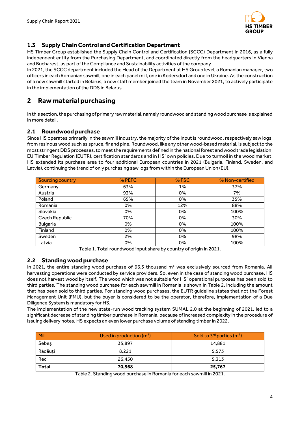

# <span id="page-4-0"></span>**1.3 Supply Chain Control and Certification Department**

HS Timber Group established the Supply Chain Control and Certification (SCCC) Department in 2016, as a fully independent entity from the Purchasing Department, and coordinated directly from the headquarters in Vienna and Bucharest, as part of the Compliance and Sustainability activities of the company.

In 2021, the SCCC department included the Head of the Department at HS Group level, a Romanian manager, two officers in each Romanian sawmill, one in each panel mill, one in Kodersdorf and one in Ukraine. As the construction of a new sawmill started in Belarus, a new staff member joined the team in November 2021, to actively participate in the implementation of the DDS in Belarus.

# <span id="page-4-1"></span>**2 Raw material purchasing**

In this section, the purchasing of primary raw material, namely roundwood and standing wood purchase is explained in more detail.

# <span id="page-4-2"></span>**2.1 Roundwood purchase**

Since HS operates primarily in the sawmill industry, the majority of the input is roundwood, respectively saw logs, from resinous wood such as spruce, fir and pine. Roundwood, like any other wood-based material, is subject to the most stringent DDS processes, to meet the requirements defined in the national forest and wood trade legislation, EU Timber Regulation (EUTR), certification standards and in HS' own policies. Due to turmoil in the wood market, HS extended its purchase area to four additional European countries in 2021 (Bulgaria, Finland, Sweden, and Latvia), continuing the trend of only purchasing saw logs from within the European Union (EU).

| Sourcing country | % PEFC | % FSC | % Non-certified |
|------------------|--------|-------|-----------------|
| Germany          | 63%    | 1%    | 37%             |
| Austria          | 93%    | 0%    | 7%              |
| Poland           | 65%    | 0%    | 35%             |
| Romania          | 0%     | 12%   | 88%             |
| Slovakia         | 0%     | 0%    | 100%            |
| Czech Republic   | 70%    | 0%    | 30%             |
| <b>Bulgaria</b>  | 0%     | 0%    | 100%            |
| Finland          | 0%     | 0%    | 100%            |
| Sweden           | 2%     | 0%    | 98%             |
| Latvia           | 0%     | 0%    | 100%            |

Table 1. Total roundwood input share by country of origin in 2021.

## <span id="page-4-3"></span>**2.2 Standing wood purchase**

In 2021, the entire standing wood purchase of 96.3 thousand  $m<sup>3</sup>$  was exclusively sourced from Romania. All harvesting operations were conducted by service providers. So, even in the case of standing wood purchase, HS does not harvest wood by itself. The wood which was not suitable for HS' operational purposes has been sold to third parties. The standing wood purchase for each sawmill in Romania is shown in Table 2, including the amount that has been sold to third parties. For standing wood purchases, the EUTR guideline states that not the Forest Management Unit (FMU), but the buyer is considered to be the operator, therefore, implementation of a Due Diligence System is mandatory for HS.

The implementation of the new state-run wood tracking system SUMAL 2.0 at the beginning of 2021, led to a significant decrease of standing timber purchase in Romania, because of increased complexity in the procedure of issuing delivery notes. HS expects an even lower purchase volume of standing timber in 2022.

| Mill         | Used in production $(m^3)$ | Sold to $3^{rd}$ parties (m <sup>3</sup> ) |
|--------------|----------------------------|--------------------------------------------|
| Sebeş        | 35.897                     | 14.881                                     |
| Rădăuti      | 8,221                      | 5.573                                      |
| Reci         | 26.450                     | 5.313                                      |
| <b>Total</b> | 70,568                     | 25,767                                     |

Table 2. Standing wood purchase in Romania for each sawmill in 2021.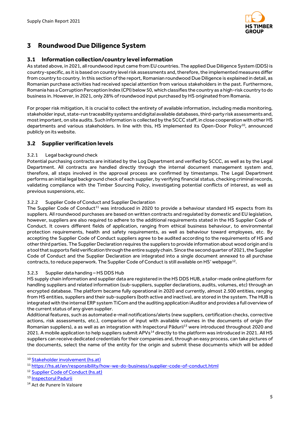

# <span id="page-5-0"></span>**3 Roundwood Due Diligence System**

# <span id="page-5-1"></span>**3.1 Information collection/country level information**

As stated above, in 2021, all roundwood input came from EU countries. The applied Due Diligence System (DDS) is country-specific, as it is based on country level risk assessments and, therefore, the implemented measures differ from country to country. In this section of the report, Romanian roundwood Due Diligence is explained in detail, as Romanian purchase activities had received special attention from various stakeholders in the past. Furthermore, Romania has a Corruption Perception Index (CPI) below 50, which classifies the country as a high-risk country to do business in. However, in 2021, only 28% of roundwood input purchased by HS originated from Romania.

For proper risk mitigation, it is crucial to collect the entirety of available information, including media monitoring, stakeholder input, state-run traceability systems and digital available databases, third-party risk assessments and, most important, on site audits. Such information is collected by the SCCC staff, in close cooperation with other HS departments and various stakeholders. In line with this, HS implemented its Open-Door Policy<sup>10</sup>, announced publicly on its website.

# <span id="page-5-2"></span>**3.2 Supplier verification levels**

## <span id="page-5-3"></span>3.2.1 Legal background check

Potential purchasing contracts are initiated by the Log Department and verified by SCCC, as well as by the Legal Department. All contracts are handled directly through the internal document management system and, therefore, all steps involved in the approval process are confirmed by timestamps. The Legal Department performs an initial legal background check of each supplier, by verifying financial status, checking criminal records, validating compliance with the Timber Sourcing Policy, investigating potential conflicts of interest, as well as previous suspensions, etc.

## <span id="page-5-4"></span>3.2.2 Supplier Code of Conduct and Supplier Declaration

The Supplier Code of Conduct<sup>11</sup> was introduced in 2020 to provide a behaviour standard HS expects from its suppliers. All roundwood purchases are based on written contracts and regulated by domestic and EU legislation, however, suppliers are also required to adhere to the additional requirements stated in the HS Supplier Code of Conduct. It covers different fields of application, ranging from ethical business behaviour, to environmental protection requirements, health and safety requirements, as well as behaviour toward employees, etc. By accepting the Supplier Code of Conduct suppliers agree to be audited according to the requirements of HS and other third parties. The Supplier Declaration requires the suppliers to provide information about wood origin and is a tool that supports field verification through the entire supply chain. Since the second quarter of 2021, the Supplier Code of Conduct and the Supplier Declaration are integrated into a single document annexed to all purchase contracts, to reduce paperwork. The Supplier Code of Conduct is still available on HS' webpage<sup>12</sup>.

## <span id="page-5-5"></span>3.2.3 Supplier data handing – HS DDS Hub

HS supply chain information and supplier data are registered in the HS DDS HUB, a tailor-made online platform for handling suppliers and related information (sub-suppliers, supplier declarations, audits, volumes, etc) through an encrypted database. The platform became fully operational in 2020 and currently, almost 2.500 entities, ranging from HS entities, suppliers and their sub-suppliers (both active and inactive), are stored in the system. The HUB is integrated with the internal ERP system TiCom and the auditing application iAuditor and provides a full overview of the current status of any given supplier.

Additional features, such as automated e-mail notifications/alerts (new suppliers, certification checks, corrective actions, risk assessments, etc.), comparison of input with available volumes in the documents of origin (for Romanian suppliers), a as well as an integration with Inspectorul Pădurii<sup>13</sup> were introduced throughout 2020 and 2021. A mobile application to help suppliers submit APVs<sup>14</sup> directly to the platform was introduced in 2021. All HS suppliers can receive dedicated credentials for their companies and, through an easy process, can take pictures of the documents, select the name of the entity for the origin and submit these documents which will be added

<sup>.</sup> <sup>10</sup> [Stakeholder involvement \(hs.at\)](https://hs.at/en/responsibility/stakeholder-involvement.html)

<sup>11</sup> <https://hs.at/en/responsibility/how-we-do-business/supplier-code-of-conduct.html>

<sup>12</sup> [Supplier Code of Conduct \(hs.at\)](https://hs.at/en/responsibility/how-we-do-business/supplier-code-of-conduct.html)

<sup>13</sup> [Inspectorul Padurii](https://inspectorulpadurii.ro/#/)

<sup>14</sup> Act de Punere în Valoare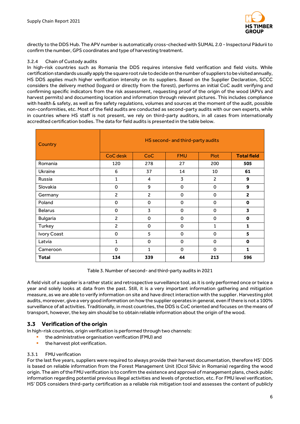

directly to the DDS Hub. The APV number is automatically cross-checked with SUMAL 2.0 - Inspectorul Pădurii to confirm the number, GPS coordinates and type of harvesting treatment.

#### <span id="page-6-0"></span>3.2.4 Chain of Custody audits

In high-risk countries such as Romania the DDS requires intensive field verification and field visits. While certification standards usually apply the square root rule to decide on the number of suppliers to be visited annually, HS DDS applies much higher verification intensity on its suppliers. Based on the Supplier Declaration, SCCC considers the delivery method (logyard or directly from the forest), performs an initial CoC audit verifying and confirming specific indicators from the risk assessment, requesting proof of the origin of the wood (APVs and harvest permits) and documenting location and information through relevant pictures. This includes compliance with health & safety, as well as fire safety regulations, volumes and sources at the moment of the audit, possible non-conformities, etc. Most of the field audits are conducted as second-party audits with our own experts, while in countries where HS staff is not present, we rely on third-party auditors, in all cases from internationally accredited certification bodies. The data for field audits is presented in the table below.

| Country         | HS second- and third-party audits |                |            |                |                    |  |
|-----------------|-----------------------------------|----------------|------------|----------------|--------------------|--|
|                 | CoC desk                          | CoC            | <b>FMU</b> | Plot           | <b>Total field</b> |  |
| Romania         | 120                               | 278            | 27         | 200            | 505                |  |
| <b>Ukraine</b>  | 6                                 | 37             | 14         | 10             | 61                 |  |
| Russia          | $\mathbf{1}$                      | 4              | 3          | $\overline{2}$ | 9                  |  |
| Slovakia        | $\mathbf 0$                       | 9              | 0          | 0              | 9                  |  |
| Germany         | $\overline{c}$                    | $\overline{c}$ | 0          | 0              | $\mathbf{2}$       |  |
| Poland          | $\mathbf 0$                       | 0              | 0          | $\mathbf 0$    | O                  |  |
| <b>Belarus</b>  | $\Omega$                          | 3              | $\Omega$   | $\Omega$       | 3                  |  |
| <b>Bulgaria</b> | $\overline{c}$                    | 0              | 0          | 0              | 0                  |  |
| Turkey          | $\overline{2}$                    | $\Omega$       | $\Omega$   | $\mathbf{1}$   | 1                  |  |
| Ivory Coast     | $\mathbf 0$                       | 5              | 0          | 0              | 5                  |  |
| Latvia          | $\mathbf{1}$                      | 0              | 0          | $\mathbf 0$    | 0                  |  |
| Cameroon        | $\Omega$                          | 1              | 0          | 0              | 1                  |  |
| <b>Total</b>    | 134                               | 339            | 44         | 213            | 596                |  |

Table 3. Number of second- and third-party audits in 2021

A field visit of a supplier is a rather static and retrospective surveillance tool, as it is only performed once or twice a year and solely looks at data from the past. Still, it is a very important information gathering and mitigation measure, as we are able to verify information on site and have direct interaction with the supplier. Harvesting plot audits, moreover, give a very good information on how the supplier operates in general, even if there is not a 100% surveillance of all activities. Traditionally, in most countries, the DDS is CoC oriented and focuses on the means of transport, however, the key aim should be to obtain reliable information about the origin of the wood.

## <span id="page-6-1"></span>**3.3 Verification of the origin**

In high-risk countries, origin verification is performed through two channels:

- the administrative organisation verification (FMU) and
- the harvest plot verification.

#### <span id="page-6-2"></span>3.3.1 FMU verification

For the last five years, suppliers were required to always provide their harvest documentation, therefore HS' DDS is based on reliable information from the Forest Management Unit (Ocol Silvic in Romania) regarding the wood origin. The aim of the FMU verification is to confirm the existence and approval of management plans, check public information regarding potential previous illegal activities and levels of protection, etc. For FMU level verification, HS' DDS considers third-party certification as a reliable risk mitigation tool and assesses the content of publicly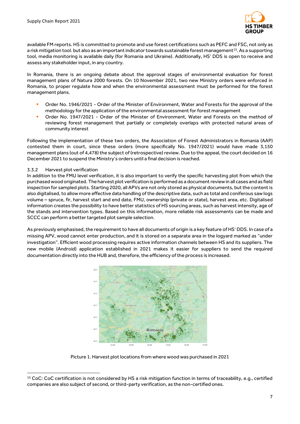

available FM reports. HS is committed to promote and use forest certifications such as PEFC and FSC, not only as a risk mitigation tool. but also as an important indicator towards sustainable forest management<sup>15</sup>. As a supporting tool, media monitoring is available daily (for Romania and Ukraine). Additionally, HS' DDS is open to receive and assess any stakeholder input, in any country.

In Romania, there is an ongoing debate about the approval stages of environmental evaluation for forest management plans of Natura 2000 forests. On 10 November 2021, two new Ministry orders were enforced in Romania, to proper regulate how and when the environmental assessment must be performed for the forest management plans.

- Order No. 1946/2021 Order of the Minister of Environment. Water and Forests for the approval of the methodology for the application of the environmental assessment for forest management
- Order No. 1947/2021 Order of the Minister of Environment, Water and Forests on the method of reviewing forest management that partially or completely overlaps with protected natural areas of community interest

Following the implementation of these two orders, the Association of Forest Administrators in Romania (AAP) contested them in court, since these orders (more specifically No. 1947/2021) would have made 3,150 management plans (out of 4,478) the subject of (retrospective) review. Due to the appeal, the court decided on 16 December 2021 to suspend the Ministry's orders until a final decision is reached.

#### <span id="page-7-0"></span>3.3.2 Harvest plot verification

.

In addition to the FMU level verification, it is also important to verify the specific harvesting plot from which the purchased wood originated. The harvest plot verification is performed as a document review in all cases and as field inspection for sampled plots. Starting 2020, all APVs are not only stored as physical documents, but the content is also digitalised, to allow more effective data handling of the descriptive data, such as total and coniferous saw logs volume – spruce, fir, harvest start and end date, FMU, ownership (private or state), harvest area, etc. Digitalised information creates the possibility to have better statistics of HS sourcing areas, such as harvest intensity, age of the stands and intervention types. Based on this information, more reliable risk assessments can be made and SCCC can perform a better targeted plot sample selection.

As previously emphasised, the requirement to have all documents of origin is a key feature of HS' DDS. In case of a missing APV, wood cannot enter production, and it is stored on a separate area in the logyard marked as "under investigation". Efficient wood processing requires active information channels between HS and its suppliers. The new mobile (Android) application established in 2021 makes it easier for suppliers to send the required documentation directly into the HUB and, therefore, the efficiency of the process is increased.



Picture 1. Harvest plot locations from where wood was purchased in 2021

<sup>15</sup> CoC: CoC certification is not considered by HS a risk mitigation function in terms of traceability, e.g., certified companies are also subject of second, or third-party verification, as the non-certified ones.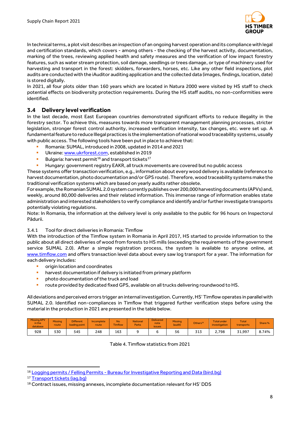

In technical terms, a plot visit describes an inspection of an ongoing harvest operation and its compliance with legal and certification standards, which covers - among others - the checking of the harvest activity, documentation, marking of the trees, reviewing applied health and safety measures and the verification of low impact forestry features, such as water stream protection, soil damage, seedlings or trees damage, or type of machinery used for harvesting and transport in the forest: skidders, forwarders, horses, etc. Like any other field inspections, plot audits are conducted with the iAuditor auditing application and the collected data (images, findings, location, date) is stored digitally.

In 2021, all four plots older than 160 years which are located in Natura 2000 were visited by HS staff to check potential effects on biodiversity protection requirements. During the HS staff audits, no non-conformities were identified.

# <span id="page-8-0"></span>**3.4 Delivery level verification**

In the last decade, most East European countries demonstrated significant efforts to reduce illegality in the forestry sector. To achieve this, measures towards more transparent management planning processes, stricter legislation, stronger forest control authority, increased verification intensity, tax changes, etc. were set up. A fundamental feature to reduce Illegal practices is the implementation of national wood traceability systems, usually with public access. The following tools have been put in place to achieve that:

- Romania: SUMAL, introduced in 2008, updated in 2014 and 2021
- **Ukraine:** [www.ukrforest.com,](http://www.ukrforest.com/) established in 2019
- **E** Bulgaria: harvest permit<sup>16</sup> and transport tickets<sup>17</sup>
- Hungary: government registry EAKR, all truck movements are covered but no public access

These systems offer transaction verification, e.g., information about every wood delivery is available (reference to harvest documentation, photo documentation and/or GPS route). Therefore, wood traceability systems make the traditional verification systems which are based on yearly audits rather obsolete.

For example, the Romanian SUMAL 2.0 system currently publishes over 200,000 harvesting documents (APVs) and, weekly, around 80,000 deliveries and their related information. This immense range of information enables state administration and interested stakeholders to verify compliance and identify and/or further investigate transports potentially violating regulations.

Note: In Romania, the information at the delivery level is only available to the public for 96 hours on Inspectorul Pădurii.

## <span id="page-8-1"></span>3.4.1 Tool for direct deliveries in Romania: Timflow

With the introduction of the Timflow system in Romania in April 2017, HS started to provide information to the public about all direct deliveries of wood from forests to HS mills (exceeding the requirements of the government service SUMAL 2.0). After a simple registration process, the system is available to anyone online, at [www.timflow.com](http://www.timflow.com/) and offers transaction level data about every saw log transport for a year. The information for each delivery includes:

- origin location and coordinates
- **E** harvest documentation if delivery is initiated from primary platform
- photo documentation of the truck and load
- **•** route provided by dedicated fixed GPS, available on all trucks delivering roundwood to HS.

All deviations and perceived errors trigger an internal investigation.Currently, HS' Timflow operates in parallel with SUMAL 2.0. Identified non-compliances in Timflow that triggered further verification steps before using the material in the production in 2021 are presented in the table below.

| <b>Missing APV</b><br>in the<br>database | <b>Missing</b><br>route | <b>Different</b><br>loading point | Incomplete<br>route | <b>No</b><br><b>Timflow</b> | <b>National</b><br><b>Parks</b> | Delivered<br>note<br>issues | <b>Missing</b><br>(audit) | Others <sup>18</sup> | Total under<br>investigation | <b>Total</b><br>transports | Share % |
|------------------------------------------|-------------------------|-----------------------------------|---------------------|-----------------------------|---------------------------------|-----------------------------|---------------------------|----------------------|------------------------------|----------------------------|---------|
| 928                                      | 530                     | 545                               | 248                 | 163                         |                                 |                             | 56                        | 313                  | 2,798                        | 31,997                     | 8.74%   |

Table 4. Timflow statistics from 2021

:

<sup>&</sup>lt;sup>16</sup> Logging permits / Felling Permits - [Bureau for Investigative Reporting and Data \(bird.bg\)](https://bird.bg/forest/)

<sup>17</sup> [Transport tickets \(iag.bg\)](http://tickets.iag.bg:8080/cgi-bin/index.cgi)

<sup>18</sup> Contract issues, missing annexes, incomplete documentation relevant for HS' DDS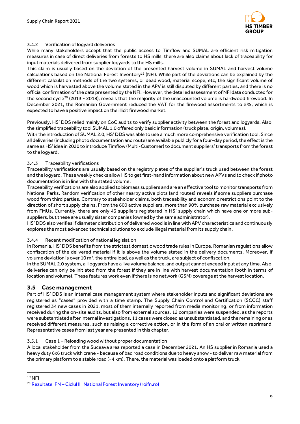

## <span id="page-9-0"></span>3.4.2 Verification of logyard deliveries

While many stakeholders accept that the public access to Timflow and SUMAL are efficient risk mitigation measures in case of direct deliveries from forests to HS mills, there are also claims about lack of traceability for input materials delivered from supplier logyards to the HS mills.

This claim is usually based on the deviation of the presented harvest volume in SUMAL and harvest volume calculations based on the National Forest Inventory<sup>19</sup> (NFI). While part of the deviations can be explained by the different calculation methods of the two systems, or dead wood, material scope, etc, the significant volume of wood which is harvested above the volume stated in the APV is still disputed by different parties, and there is no official confirmation of the data presented by the NFI. However, the detailed assessment of NFI data conducted for the second cycle<sup>20</sup> (2013 - 2018), reveals that the majority of the unaccounted volume is hardwood firewood. In December 2021, the Romanian Government reduced the VAT for the firewood assortments to 5%, which is expected to have a positive impact on the illicit firewood market.

Previously, HS' DDS relied mainly on CoC audits to verify supplier activity between the forest and logyards. Also, the simplified traceability tool SUMAL 1.0 offered only basic information (truck plate, origin, volumes).

With the introduction of SUMAL 2.0, HS' DDS was able to use a much more comprehensive verification tool. Since all deliveries (including photo documentation and route) are available publicly for a four-day period, the effect is the same as HS' idea in 2020 to introduce Timflow (Multi-Customer) to document suppliers' transports from the forest to the logyard.

## <span id="page-9-1"></span>3.4.3 Traceability verifications

Traceability verifications are usually based on the registry plates of the supplier's truck used between the forest and the logyard. These weekly checks allow HS to get first-hand information about new APVs and to check if photo documentation is in line with the stated volume.

Traceability verifications are also applied to biomass suppliers and are an effective tool to monitor transports from National Parks. Random verification of other nearby active plots (and routes) reveals if some suppliers purchase wood from third parties. Contrary to stakeholder claims, both traceability and economic restrictions point to the direction of short supply chains. From the 600 active suppliers, more than 90% purchase raw material exclusively from FMUs. Currently, there are only 43 suppliers registered in HS' supply chain which have one or more subsuppliers, but these are usually sister companies (owned by the same administrator).

HS' DDS also verifies if diameter distribution of delivered wood is in line with APV characteristics and continuously explores the most advanced technical solutions to exclude illegal material from its supply chain.

## <span id="page-9-2"></span>3.4.4 Recent modification of national legislation

In Romania, HS' DDS benefits from the strictest domestic wood trade rules in Europe. Romanian regulations allow confiscation of the delivered material if it is above the volume stated in the delivery documents. Moreover, if volume deviation is over 10 m<sup>3</sup>, the entire load, as well as the truck, are subject of confiscation.

In the SUMAL 2.0 system, all logyards have a live volume balance, and output cannot exceed input at any time. Also, deliveries can only be initiated from the forest if they are in line with harvest documentation (both in terms of location and volume). These features work even if there is no network (GSM) coverage at the harvest location.

## <span id="page-9-3"></span>**3.5 Case management**

Part of HS' DDS is an internal case management system where stakeholder inputs and significant deviations are registered as "cases" provided with a time stamp. The Supply Chain Control and Certification (SCCC) staff registered 34 new cases in 2021, most of them internally reported from media monitoring, or from information received during the on-site audits, but also from external sources. 12 companies were suspended, as the reports were substantiated after internal investigations, 11 cases were closed as unsubstantiated, and the remaining ones received different measures, such as raising a corrective action, or in the form of an oral or written reprimand. Representative cases from last year are presented in this chapter.

## <span id="page-9-4"></span>3.5.1 Case 1 – Reloading wood without proper documentation

A local stakeholder from the Suceava area reported a case in December 2021. An HS supplier in Romania used a heavy duty 6x6 truck with crane - because of bad road conditions due to heavy snow - to deliver raw material from the primary platform to a stable road ( $-4$  km). There, the material was loaded onto a platform truck.

.

<sup>19</sup> NFI

<sup>&</sup>lt;sup>20</sup> Rezultate IFN - [Ciclul II | National Forest Inventory \(roifn.ro\)](http://roifn.ro/site/rezultate-ifn-2/)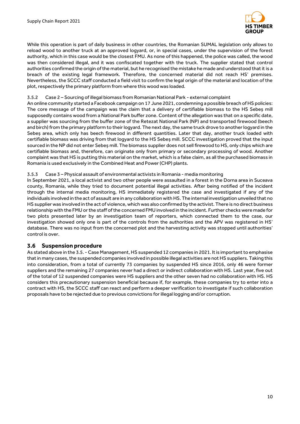

While this operation is part of daily business in other countries, the Romanian SUMAL legislation only allows to reload wood to another truck at an approved logyard, or, in special cases, under the supervision of the forest authority, which in this case would be the closest FMU. As none of this happened, the police was called, the wood was then considered illegal, and it was confiscated together with the truck. The supplier stated that control authorities confirmed the origin of the material, but he recognised the mistake he made and understood that it is a breach of the existing legal framework. Therefore, the concerned material did not reach HS' premises. Nevertheless, the SCCC staff conducted a field visit to confirm the legal origin of the material and location of the plot, respectively the primary platform from where this wood was loaded.

#### <span id="page-10-0"></span>3.5.2 Case 2 – Sourcing of illegal biomass from Romanian National Park - external complaint

An online community started a Facebook campaign on 17 June 2021, condemning a possible breach of HS policies: The core message of the campaign was the claim that a delivery of certifiable biomass to the HS Sebeș mill supposedly contains wood from a National Park buffer zone. Content of the allegation was that on a specific date, a supplier was sourcing from the buffer zone of the Retezat National Park (NP) and transported firewood (beech and birch) from the primary platform to their logyard. The next day, the same truck drove to another logyard in the Sebeș area, which only has beech firewood in different quantities. Later that day, another truck loaded with certifiable biomass was driving from that logyard to the HS Sebeș mill. SCCC investigation proved that the input sourced in the NP did not enter Sebeș mill. The biomass supplier does not sell firewood to HS, only chips which are certifiable biomass and, therefore, can originate only from primary or secondary processing of wood. Another complaint was that HS is putting this material on the market, which is a false claim, as all the purchased biomass in Romania is used exclusively in the Combined Heat and Power (CHP) plants.

#### <span id="page-10-1"></span>3.5.3 Case 3 – Physical assault of environmental activists in Romania - media monitoring

In September 2021, a local activist and two other people were assaulted in a forest in the Dorna area in Suceava county, Romania, while they tried to document potential illegal activities. After being notified of the incident through the internal media monitoring, HS immediately registered the case and investigated if any of the individuals involved in the act of assault are in any collaboration with HS. The internal investigation unveiled that no HS supplier was involved in the act of violence, which was also confirmed by the activist. There is no direct business relationship with the FMU or the staff of the concerned FMU involved in the incident. Further checks were made for two plots presented later by an investigation team of reporters, which connected them to the case, our investigation showed only one is part of the controls from the authorities and the APV was registered in HS' database. There was no input from the concerned plot and the harvesting activity was stopped until authorities' control is over.

## <span id="page-10-2"></span>**3.6 Suspension procedure**

As stated above in the 3.5. - Case Management, HS suspended 12 companies in 2021. It is important to emphasise that in many cases, the suspended companies involved in possible illegal activities are not HS suppliers. Taking this into consideration, from a total of currently 73 companies by suspended HS since 2016, only 46 were former suppliers and the remaining 27 companies never had a direct or indirect collaboration with HS. Last year, five out of the total of 12 suspended companies were HS suppliers and the other seven had no collaboration with HS. HS considers this precautionary suspension beneficial because if, for example, these companies try to enter into a contract with HS, the SCCC staff can react and perform a deeper verification to investigate if such collaboration proposals have to be rejected due to previous convictions for illegal logging and/or corruption.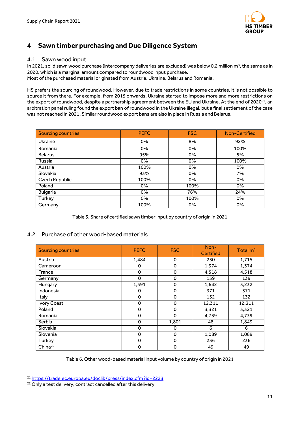

# <span id="page-11-0"></span>**4 Sawn timber purchasing and Due Diligence System**

## <span id="page-11-1"></span>4.1 Sawn wood input

In 2021, solid sawn wood purchase (intercompany deliveries are excluded) was below 0.2 million m<sup>3</sup>, the same as in 2020, which is a marginal amount compared to roundwood input purchase.

Most of the purchased material originated from Austria, Ukraine, Belarus and Romania.

HS prefers the sourcing of roundwood. However, due to trade restrictions in some countries, it is not possible to source it from there. For example, from 2015 onwards, Ukraine started to impose more and more restrictions on the export of roundwood, despite a partnership agreement between the EU and Ukraine. At the end of 2020<sup>21</sup>, an arbitration panel ruling found the export ban of roundwood in the Ukraine illegal, but a final settlement of the case was not reached in 2021. Similar roundwood export bans are also in place in Russia and Belarus.

| <b>Sourcing countries</b> | <b>PEFC</b> | <b>FSC</b> | Non-Certified |
|---------------------------|-------------|------------|---------------|
| Ukraine                   | 0%          | 8%         | 92%           |
| Romania                   | 0%          | 0%         | 100%          |
| <b>Belarus</b>            | 95%         | 0%         | 5%            |
| Russia                    | 0%          | 0%         | 100%          |
| Austria                   | 100%        | 0%         | 0%            |
| Slovakia                  | 93%         | 0%         | 7%            |
| Czech Republic            | 100%        | 0%         | 0%            |
| Poland                    | 0%          | 100%       | 0%            |
| <b>Bulgaria</b>           | 0%          | 76%        | 24%           |
| Turkey                    | 0%          | 100%       | 0%            |
| Germany                   | 100%        | 0%         | 0%            |

Table 5. Share of certified sawn timber input by country of origin in 2021

# <span id="page-11-2"></span>4.2 Purchase of other wood-based materials

| <b>Sourcing countries</b> | <b>PEFC</b> | <b>FSC</b> | Non-<br>Certified | Total $m3$ |
|---------------------------|-------------|------------|-------------------|------------|
| Austria                   | 1,484       | 0          | 230               | 1,715      |
| Cameroon                  | 0           | 0          | 1,374             | 1,374      |
| France                    | $\Omega$    | 0          | 4,518             | 4,518      |
| Germany                   | 0           | 0          | 139               | 139        |
| Hungary                   | 1,591       | 0          | 1,642             | 3,232      |
| Indonesia                 | 0           | 0          | 371               | 371        |
| Italy                     | $\mathbf 0$ | 0          | 132               | 132        |
| Ivory Coast               | $\Omega$    | 0          | 12,311            | 12,311     |
| Poland                    | 0           | 0          | 3,321             | 3,321      |
| Romania                   | 0           | 0          | 4,739             | 4,739      |
| Serbia                    | 0           | 1,801      | 48                | 1,849      |
| Slovakia                  | $\mathbf 0$ | 0          | 6                 | 6          |
| Slovenia                  | 0           | 0          | 1,089             | 1,089      |
| Turkey                    | $\Omega$    | 0          | 236               | 236        |
| China <sup>22</sup>       | 0           | 0          | 49                | 49         |

Table 6. Other wood-based material input volume by country of origin in 2021

<sup>.</sup> <sup>21</sup> <https://trade.ec.europa.eu/doclib/press/index.cfm?id=2223>

<sup>&</sup>lt;sup>22</sup> Only a test delivery, contract cancelled after this delivery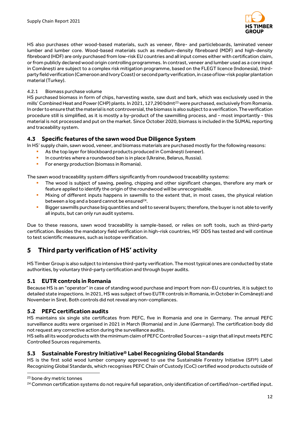

HS also purchases other wood-based materials, such as veneer, fibre- and particleboards, laminated veneer lumber and lumber core. Wood-based materials such as medium-density fibreboard (MDF) and high-density fibreboard (HDF) are only purchased from low-risk EU countries and all input comes either with certification claim, or from publicly declared wood origin controlling programmes. In contrast, veneer and lumber used as a core input in Comănești are subject to a complex risk mitigation programme, based on the FLEGT licence (Indonesia), thirdparty field verification (Cameroon and Ivory Coast) or second party verification, in case of low-risk poplar plantation material (Turkey).

#### <span id="page-12-0"></span>4.2.1 Biomass purchase volume

HS purchased biomass in form of chips, harvesting waste, saw dust and bark, which was exclusively used in the mills' Combined Heat and Power (CHP) plants. In 2021, 127,290 bdmt<sup>23</sup> were purchased, exclusively from Romania. In order to ensure that the material is not controversial, the biomass is also subject to a verification. The verification procedure still is simplified, as it is mostly a by-product of the sawmilling process, and - most importantly - this material is not processed and put on the market. Since October 2020, biomass is included in the SUMAL reporting and traceability system.

## <span id="page-12-1"></span>**4.3 Specific features of the sawn wood Due Diligence System**

In HS' supply chain, sawn wood, veneer, and biomass materials are purchased mostly for the following reasons:

- As the top layer for blockboard products produced in Comănești (veneer).
- **•** In countries where a roundwood ban is in place (Ukraine, Belarus, Russia).
- For energy production (biomass in Romania).

The sawn wood traceability system differs significantly from roundwood traceability systems:

- The wood is subject of sawing, peeling, chipping and other significant changes, therefore any mark or feature applied to identify the origin of the roundwood will be unrecognisable.
- Mixing of different inputs happens in sawmills to the extent that, in most cases, the physical relation between a log and a board cannot be ensured<sup>24</sup>.
- **EXECTE SHEADER IS A BIGGET SAMPLE SET AS A BIGGET SHEADER IS A BIGGET AT A BIGGET OF SHEADER IS NOT SHEADER IS NOT SHEADER IS NOT SHEADER IS NOT SHEADER IS NOT SHEADER IS NOT SHEADER IS NOT SHEADER IS NOT SHEADER IS NOT S** all inputs, but can only run audit systems.

Due to these reasons, sawn wood traceability is sample-based, or relies on soft tools, such as third-party certification. Besides the mandatory field verification in high-risk countries, HS' DDS has tested and will continue to test scientific measures, such as isotope verification.

# <span id="page-12-2"></span>**5 Third party verification of HS' activity**

HS Timber Group is also subject to intensive third-party verification. The most typical ones are conducted by state authorities, by voluntary third-party certification and through buyer audits.

## <span id="page-12-3"></span>**5.1 EUTR controls in Romania**

Because HS is an "operator" in case of standing wood purchase and import from non-EU countries, it is subject to detailed state inspections. In 2021, HS was subject oftwo EUTR controls in Romania, in October in Comănești and November in Siret. Both controls did not reveal any non-compliances.

## <span id="page-12-4"></span>**5.2 PEFC certification audits**

HS maintains six single site certificates from PEFC, five in Romania and one in Germany. The annual PEFC surveillance audits were organised in 2021 in March (Romania) and in June (Germany). The certification body did not request any corrective action during the surveillance audits.

HS sells all its wood products with the minimum claim of PEFC Controlled Sources – a sign that all input meets PEFC Controlled Sources requirements.

## <span id="page-12-5"></span>**5.3 Sustainable Forestry Initiative® Label Recognizing Global Standards**

HS is the first solid wood lumber company approved to use the Sustainable Forestry Initiative (SFI®) Label Recognizing Global Standards, which recognises PEFC Chain of Custody (CoC) certified wood products outside of

.

<sup>&</sup>lt;sup>23</sup> bone dry metric tonnes

<sup>&</sup>lt;sup>24</sup> Common certification systems do not require full separation, only identification of certified/non-certified input.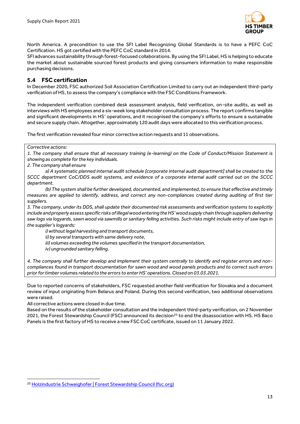

North America. A precondition to use the SFI Label Recognizing Global Standards is to have a PEFC CoC Certification. HS got certified with the PEFC CoC standard in 2014.

SFI advances sustainability through forest-focused collaborations. By using the SFI Label, HS is helping to educate the market about sustainable sourced forest products and giving consumers information to make responsible purchasing decisions.

## <span id="page-13-0"></span>**5.4 FSC certification**

In December 2020, FSC authorized Soil Association Certification Limited to carry out an independent third-party verification of HS, to assess the company's compliance with the FSC Conditions Framework.

The independent verification combined desk assessment analysis, field verification, on-site audits, as well as interviews with HS employees and a six-week long stakeholder consultation process. The report confirms tangible and significant developments in HS' operations, and it recognised the company's efforts to ensure a sustainable and secure supply chain. Altogether, approximately 120 audit days were allocated to this verification process.

The first verification revealed four minor corrective action requests and 11 observations.

*Corrective actions:*

*1. The company shall ensure that all necessary training (e-learning) on the Code of Conduct/Mission Statement is showing as complete for the key individuals.*

*2. The company shall ensure* 

*a) A systematic planned internal audit schedule [corporate internal audit department] shall be created to the SCCC department CoC/DDS audit systems, and evidence of a corporate internal audit carried out on the SCCC department.* 

*(b) The system shall be further developed, documented, and implemented, to ensure that effective and timely measures are applied to identify, address, and correct any non-compliances created during auditing of first tier suppliers.*

*3. The company, under its DDS, shall update their documented risk assessments and verification systems to explicitly include and properly assess specific risks of illegal wood entering the HS' wood supply chain through suppliers delivering saw logs via logyards, sawn wood via sawmills or sanitary felling activities. Such risks might include entry of saw logs in the supplier's logyards:* 

*i) without legal harvesting and transport documents,*

*ii) by several transports with same delivery note,*

*iii) volumes exceeding the volumes specified in the transport documentation,*

*iv) ungrounded sanitary felling.*

*4. The company shall further develop and implement their system centrally to identify and register errors and noncompliances found in transport documentation for sawn wood and wood panels products and to correct such errors prior for timber volumes related to the errors to enter HS' operations. Closed on 03.03.2021.*

Due to reported concerns of stakeholders, FSC requested another field verification for Slovakia and a document review of input originating from Belarus and Poland. During this second verification, two additional observations were raised.

All corrective actions were closed in due time.

.

Based on the results of the stakeholder consultation and the independent third-party verification, on 2 November 2021, the Forest Stewardship Council (FSC) announced its decision<sup>25</sup> to end the disassociation with HS. HS Baco Panels is the first factory of HS to receive a new FSC CoC certificate, issued on 11 January 2022.

<sup>25</sup> [Holzindustrie Schweighofer | Forest Stewardship Council \(fsc.org\)](https://fsc.org/en/unacceptable-activities/cases/holzindustrie-schweighofer)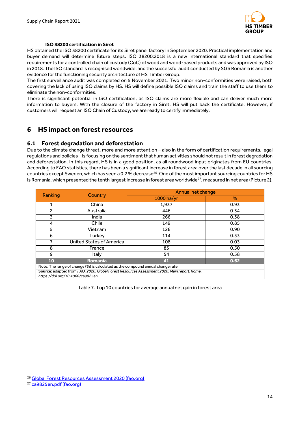

#### **ISO 38200 certification in Siret**

HS obtained the ISO 38200 certificate for its Siret panel factory in September 2020. Practical implementation and buyer demand will determine future steps. ISO 38200:2018 is a new international standard that specifies requirements for a controlled chain of custody (CoC) of wood and wood-based products and was approved by ISO in 2018. The ISO standard is recognised worldwide, and the successful audit conducted by SGS Romania is another evidence for the functioning security architecture of HS Timber Group.

The first surveillance audit was completed on 5 November 2021. Two minor non-conformities were raised, both covering the lack of using ISO claims by HS. HS will define possible ISO claims and train the staff to use them to eliminate the non-conformities.

There is significant potential in ISO certification, as ISO claims are more flexible and can deliver much more information to buyers. With the closure of the factory in Siret, HS will put back the certificate. However, if customers will request an ISO Chain of Custody, we are ready to certify immediately.

# <span id="page-14-0"></span>**6 HS impact on forest resources**

## <span id="page-14-1"></span>**6.1 Forest degradation and deforestation**

Due to the climate change threat, more and more attention – also in the form of certification requirements, legal regulations and policies – is focusing on the sentiment that human activities should not result in forest degradation and deforestation. In this regard, HS is in a good position, as all roundwood input originates from EU countries. According to FAO statistics, there has been a significant increase in forest area overthe last decade in all sourcing countries except Sweden, which has seen a 0.2 % decrease<sup>26</sup>. One of the most important sourcing countries for HS is Romania, which presented the tenth largest increase in forest area worldwide $^{27}$ , measured in net area (Picture 2).

| Ranking                                                                                     | Country                         | Annual net change |      |  |  |  |
|---------------------------------------------------------------------------------------------|---------------------------------|-------------------|------|--|--|--|
|                                                                                             |                                 | 1000 ha/yr        | $\%$ |  |  |  |
|                                                                                             | China                           | 1,937             | 0.93 |  |  |  |
| 2                                                                                           | Australia                       | 446               | 0.34 |  |  |  |
| 3                                                                                           | India                           | 266               | 0.38 |  |  |  |
| 4                                                                                           | Chile                           | 149               | 0.85 |  |  |  |
| 5                                                                                           | Vietnam                         | 126               | 0.90 |  |  |  |
| 6                                                                                           | Turkey                          | 114               | 0.53 |  |  |  |
|                                                                                             | <b>United States of America</b> | 108               | 0.03 |  |  |  |
| 8                                                                                           | France                          | 83                | 0.50 |  |  |  |
| 9<br>Italy<br>54<br>0.58                                                                    |                                 |                   |      |  |  |  |
| 10<br><b>Romania</b><br>41<br>0.62                                                          |                                 |                   |      |  |  |  |
| Note: The range of change (%) is calculated as the compound annual change rate              |                                 |                   |      |  |  |  |
| Source: adapted from FAO. 2020. Global Forest Resources Assessment 2020: Main report. Rome. |                                 |                   |      |  |  |  |

*https://doi.org/10.4060/ca9825en*

Table 7. Top 10 countries for average annual net gain in forest area

.

<sup>26</sup> [Global Forest Resources Assessment 2020 \(fao.org\)](https://www.fao.org/3/ca8753en/ca8753en.pdf)

<sup>27</sup> [ca9825en.pdf \(fao.org\)](https://www.fao.org/3/ca9825en/ca9825en.pdf)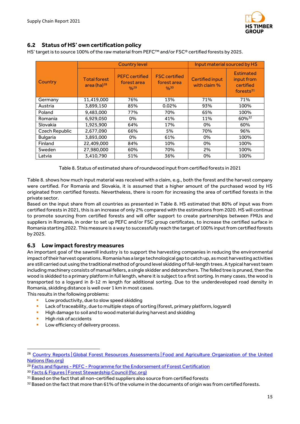

# <span id="page-15-0"></span>**6.2 Status of HS' own certification policy**

HS'target is to source 100% of the raw material from PEFC™ and/or FSC® certified forests by 2025.

|                 |                                         | <b>Country level</b>                         | Input material sourced by HS                  |                                 |                                                             |
|-----------------|-----------------------------------------|----------------------------------------------|-----------------------------------------------|---------------------------------|-------------------------------------------------------------|
| Country         | <b>Total forest</b><br>area $(ha)^{28}$ | <b>PEFC</b> certified<br>forest area<br>9/29 | <b>FSC</b> certified<br>forest area<br>0/0.30 | Certified input<br>with claim % | <b>Estimated</b><br>input from<br>certified<br>forests $31$ |
| Germany         | 11,419,000                              | 76%                                          | 13%                                           | 71%                             | 71%                                                         |
| Austria         | 3,899,150                               | 85%                                          | 0.02%                                         | 93%                             | 100%                                                        |
| Poland          | 9,483,000                               | 77%                                          | 70%                                           | 65%                             | 100%                                                        |
| Romania         | 6,929,050                               | 0%                                           | 41%                                           | 11%                             | 60% <sup>32</sup>                                           |
| Slovakia        | 1,925,900                               | 64%                                          | 17%                                           | 0%                              | 60%                                                         |
| Czech Republic  | 2,677,090                               | 66%                                          | 5%                                            | 70%                             | 96%                                                         |
| <b>Bulgaria</b> | 3,893,000                               | 0%                                           | 61%                                           | 0%                              | 100%                                                        |
| Finland         | 22,409,000                              | 84%                                          | 10%                                           | 0%                              | 100%                                                        |
| Sweden          | 27,980,000                              | 60%                                          | 70%                                           | 2%                              | 100%                                                        |
| Latvia          | 3,410,790                               | 51%                                          | 36%                                           | 0%                              | 100%                                                        |

Table 8. Status of estimated share ofroundwood input from certified forests in 2021

Table 8. shows how much input material was received with a claim, e.g., both the forest and the harvest company were certified. For Romania and Slovakia, it is assumed that a higher amount of the purchased wood by HS originated from certified forests. Nevertheless, there is room for increasing the area of certified forests in the private sector.

Based on the input share from all countries as presented in Table 8. HS estimated that 80% of input was from certified forests in 2021, this is an increase of only 2% compared with the estimations from 2020. HS will continue to promote sourcing from certified forests and will offer support to create partnerships between FMUs and suppliers in Romania, in order to set up PEFC and/or FSC group certificates, to increase the certified surface in Romania starting 2022. This measure is a way to successfully reach the target of 100% input from certified forests by 2025.

## <span id="page-15-1"></span>**6.3 Low impact forestry measures**

An important goal of the sawmill industry is to support the harvesting companies in reducing the environmental impact oftheir harvest operations. Romania has a large technological gap to catch up, as most harvesting activities are still carried out using the traditional method of ground level skidding of full-length trees. A typical harvest team including machinery consists of manual fellers, a single skidder and debranchers. The felled tree is pruned, then the wood is skidded to a primary platform in full length, where it is subject to a first sorting. In many cases, the wood is transported to a logyard in 8-12 m length for additional sorting. Due to the underdeveloped road density in Romania, skidding distance is well over 1 km in most cases.

This results in the following problems:

- Low productivity, due to slow speed skidding
- **•** Lack of traceability, due to multiple steps of sorting (forest, primary platform, logyard)
- High damage to soil and to wood material during harvest and skidding
- High risk of accidents

:

Low efficiency of delivery process.

<sup>&</sup>lt;sup>28</sup> Country Reports | Global Forest Resources Assessments | Food and Agriculture Organization of the United [Nations \(fao.org\)](https://www.fao.org/forest-resources-assessment/fra-2020/country-reports/en/)

<sup>&</sup>lt;sup>29</sup> Facts and figures - PEFC - [Programme for the Endorsement of Forest Certification](https://www.pefc.org/discover-pefc/facts-and-figures)

<sup>30</sup> [Facts & Figures | Forest Stewardship Council \(fsc.org\)](https://fsc.org/en/facts-figures)

<sup>&</sup>lt;sup>31</sup> Based on the fact that all non-certified suppliers also source from certified forests

<sup>&</sup>lt;sup>32</sup> Based on the fact that more than 61% of the volume in the documents of origin was from certified forests.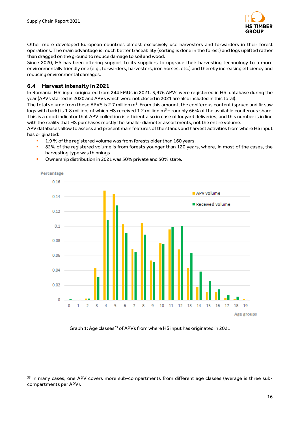.



Other more developed European countries almost exclusively use harvesters and forwarders in their forest operations. The main advantage is much better traceability (sorting is done in the forest) and logs uplifted rather than dragged on the ground to reduce damage to soil and wood.

Since 2020, HS has been offering support to its suppliers to upgrade their harvesting technology to a more environmentally friendly one (e.g., forwarders, harvesters, iron horses, etc.) and thereby increasing efficiency and reducing environmental damages.

## <span id="page-16-0"></span>**6.4 Harvest intensity in 2021**

In Romania, HS' input originated from 244 FMUs in 2021. 3,976 APVs were registered in HS' database during the year (APVs started in 2020 and APVs which were not closed in 2021 are also included in this total).

The total volume from these APVS is 2.7 million m<sup>3</sup>. From this amount, the coniferous content (spruce and fir saw logs with bark) is 1.8 million, of which HS received 1.2 million  $m^3$  – roughly 66% of the available coniferous share. This is a good indicator that APV collection is efficient also in case of logyard deliveries, and this number is in line with the reality that HS purchases mostly the smaller diameter assortments, not the entire volume.

APV databases allow to assess and present main features of the stands and harvest activities from where HS input has originated:

- 1.9 % of the registered volume was from forests older than 160 years.
- 82% of the registered volume is from forests younger than 120 years, where, in most of the cases, the harvesting type was thinnings.



Ownership distribution in 2021 was 50% private and 50% state.

Graph 1: Age classes<sup>33</sup> of APVs from where HS input has originated in 2021

<sup>&</sup>lt;sup>33</sup> In many cases, one APV covers more sub-compartments from different age classes (average is three subcompartments per APV).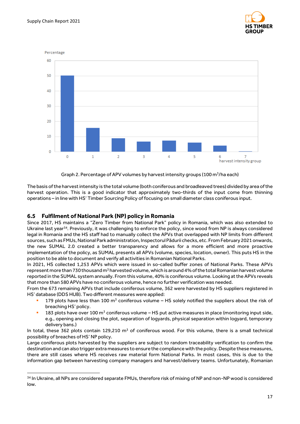.





Graph 2. Percentage of APV volumes by harvest intensity groups (100 m<sup>3</sup>/ha each)

The basis of the harvest intensity is the total volume (both coniferous and broadleaved trees) divided by area of the harvest operation. This is a good indicator that approximately two-thirds of the input come from thinning operations – in line with HS' Timber Sourcing Policy of focusing on small diameter class coniferous input.

## <span id="page-17-0"></span>**6.5 Fulfilment of National Park (NP) policy in Romania**

Since 2017, HS maintains a "Zero Timber from National Park" policy in Romania, which was also extended to Ukraine last year<sup>34</sup>. Previously, it was challenging to enforce the policy, since wood from NP is always considered legal in Romania and the HS staff had to manually collect the APVs that overlapped with NP limits from different sources, such as FMUs, National Park administration, Inspectorul Pădurii checks, etc. From February 2021 onwards, the new SUMAL 2.0 created a better transparency and allows for a more efficient and more proactive implementation of the policy, as SUMAL presents all APVs (volume, species, location, owner). This puts HS in the position to be able to document and verify all activities in Romanian National Parks.

In 2021, HS collected 1,253 APVs which were issued in so-called buffer zones of National Parks. These APVs represent more than 730 thousand m<sup>3</sup> harvested volume, which is around 4% of the total Romanian harvest volume reported in the SUMAL system annually. From this volume, 40% is coniferous volume. Looking at the APVs reveals that more than 580 APVs have no coniferous volume, hence no further verification was needed.

From the 673 remaining APVs that include coniferous volume, 362 were harvested by HS suppliers registered in HS' database (DDS HUB). Two different measures were applied:

- 179 plots have less than 100  $m^3$  coniferous volume HS solely notified the suppliers about the risk of breaching HS' policy.
- 183 plots have over 100 m<sup>3</sup> coniferous volume HS put active measures in place (monitoring input side, e.g., opening and closing the plot, separation of logyards, physical separation within logyard, temporary delivery bans.)

In total, these 362 plots contain 129,210  $m<sup>3</sup>$  of coniferous wood. For this volume, there is a small technical possibility of breaches of HS' NP policy.

Large coniferous plots harvested by the suppliers are subject to random traceability verification to confirm the destination and can also trigger extra measures to ensure the compliance with the policy. Despite these measures, there are still cases where HS receives raw material form National Parks. In most cases, this is due to the information gap between harvesting company managers and harvest/delivery teams. Unfortunately, Romanian

<sup>&</sup>lt;sup>34</sup> In Ukraine, all NPs are considered separate FMUs, therefore risk of mixing of NP and non-NP wood is considered low.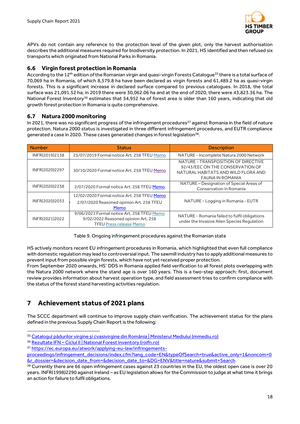

APVs do not contain any reference to the protection level of the given plot, only the harvest authorisation describes the additional measures required for biodiversity protection. In 2021, HS identified and then refused six transports which originated from National Parks in Romania.

## <span id="page-18-0"></span>**6.6 Virgin forest protection in Romania**

According to the 12<sup>th</sup> edition of the Romanian virgin and quasi-virgin Forests Catalogue<sup>35</sup> there is a total surface of 70,069 ha in Romania, of which 8,579.8 ha have been declared as virgin forests and 61,489.2 ha as quasi-virgin forests. This is a significant increase in declared surface compared to previous catalogues. In 2018, the total surface was 21,091.52 ha; in 2019 there were 30,062.06 ha and at the end of 2020, there were 43,823.36 ha. The National Forest Inventory<sup>36</sup> estimates that 54,952 ha of forest area is older than 160 years, indicating that old growth forest protection in Romania is quite comprehensive.

## <span id="page-18-1"></span>**6.7 Natura 2000 monitoring**

In 2021, there was no significant progress of the infringement procedures<sup>37</sup> against Romania in the field of nature protection. Natura 2000 status is investigated in three different infringement procedures, and EUTR compliance generated a case in 2020. These cases generated changes in forest legislation $^{38}$ .

| <b>Number</b>  | <b>Status</b>                                                                                                       | <b>Description</b>                                                                                                                 |
|----------------|---------------------------------------------------------------------------------------------------------------------|------------------------------------------------------------------------------------------------------------------------------------|
| INFR(2019)2138 | 25/07/2019 Formal notice Art. 258 TFEU Memo                                                                         | NATURE - Incomplete Natura 2000 Network                                                                                            |
| INFR(2020)2297 | 30/10/2020 Formal notice Art. 258 TFEU Memo                                                                         | NATURE - TRANSPOSITION OF DIRECTIVE<br>92/43/EEC ON THE CONSERVATION OF<br>NATURAL HABITATS AND WILD FLORA AND<br>FAUNA IN ROMANIA |
| INFR(2020)2238 | 2/07/2020 Formal notice Art. 258 TFEU Memo                                                                          | NATURE - Designation of Special Areas of<br>Conservation in Romania                                                                |
| INFR(2020)2033 | 12/02/2020 Formal notice Art. 258 TFEU Memo<br>2/07/2020 Reasoned opinion Art. 258 TFEU<br>Memo                     | NATURE - Logging in Romania - EUTR                                                                                                 |
| INFR(2021)2022 | 9/06/2021 Formal notice Art. 258 TFEU Memo<br>9/02/2022 Reasoned opinion Art. 258<br><b>TFEU Press release Memo</b> | NATURE - Romania failed to fulfil obligations<br>under the Invasive Alien Species Regulation                                       |

## Table 9. Ongoing infringement procedures against the Romanian state

HS actively monitors recent EU infringement procedures in Romania, which highlighted that even full compliance with domestic regulation may lead to controversial input. The sawmill industry has to apply additional measures to prevent input from possible virgin forests, which have not yet received proper protection.

From September 2020 onwards, HS' DDS in Romania applied field verification to all forest plots overlapping with the Natura 2000 network where the stand age is over 160 years. This is a two-step approach: first, document review provides information about harvest operation type, and field assessment tries to confirm compliance with the status of the forest stand harvesting activities regulation.

# <span id="page-18-2"></span>**7 Achievement status of 2021 plans**

:

The SCCC department will continue to improve supply chain verification. The achievement status for the plans defined in the previous Supply Chain Report is the following:

<sup>35</sup> Catalogul pădurilor virgine și [cvasivirgine din România | Ministerul Mediului \(mmediu.ro\)](http://www.mmediu.ro/articol/catalogul-padurilor-virgine-si-cvasivirgine-din-romania/4790)

<sup>36</sup> Rezultate IFN – [Ciclul II | National Forest Inventory \(roifn.ro\)](http://roifn.ro/site/rezultate-ifn-2/)

<sup>37</sup> [https://ec.europa.eu/atwork/applying-eu-law/infringements-](https://ec.europa.eu/atwork/applying-eu-law/infringements-proceedings/infringement_decisions/index.cfm?lang_code=EN&typeOfSearch=true&active_only=1&noncom=0&r_dossier=&decision_date_from=&decision_date_to=&DG=ENV&title=nature&submit=Search)

[proceedings/infringement\\_decisions/index.cfm?lang\\_code=EN&typeOfSearch=true&active\\_only=1&noncom=0](https://ec.europa.eu/atwork/applying-eu-law/infringements-proceedings/infringement_decisions/index.cfm?lang_code=EN&typeOfSearch=true&active_only=1&noncom=0&r_dossier=&decision_date_from=&decision_date_to=&DG=ENV&title=nature&submit=Search) [&r\\_dossier=&decision\\_date\\_from=&decision\\_date\\_to=&DG=ENV&title=nature&submit=Search](https://ec.europa.eu/atwork/applying-eu-law/infringements-proceedings/infringement_decisions/index.cfm?lang_code=EN&typeOfSearch=true&active_only=1&noncom=0&r_dossier=&decision_date_from=&decision_date_to=&DG=ENV&title=nature&submit=Search)

<sup>&</sup>lt;sup>38</sup> Currently there are 66 open infringement cases against 23 countries in the EU, the oldest open case is over 20 years. INFR(1998)2290 against Ireland – as EU legislation allows for the Commission to judge at what time it brings an action for failure to fulfil obligations.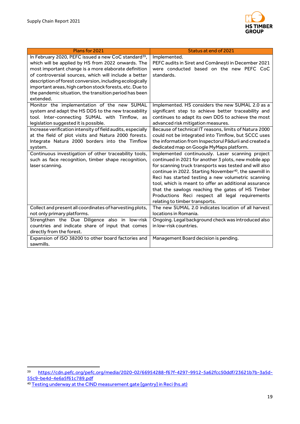

| Plans for 2021                                                                                                                                                                                                                          | Status at end of 2021                                                                                                                                                                                                                                                                                                                                                                                                                                                                             |
|-----------------------------------------------------------------------------------------------------------------------------------------------------------------------------------------------------------------------------------------|---------------------------------------------------------------------------------------------------------------------------------------------------------------------------------------------------------------------------------------------------------------------------------------------------------------------------------------------------------------------------------------------------------------------------------------------------------------------------------------------------|
| In February 2020, PEFC issued a new CoC standard <sup>39</sup> ,<br>which will be applied by HS from 2022 onwards. The<br>most important change is a more elaborate definition<br>of controversial sources, which will include a better | Implemented.<br>PEFC audits in Siret and Comănești in December 2021<br>were conducted based on the new PEFC CoC<br>standards.                                                                                                                                                                                                                                                                                                                                                                     |
| description of forest conversion, including ecologically<br>important areas, high carbon stock forests, etc. Due to<br>the pandemic situation, the transition period has been<br>extended.                                              |                                                                                                                                                                                                                                                                                                                                                                                                                                                                                                   |
| Monitor the implementation of the new SUMAL<br>system and adapt the HS DDS to the new traceability<br>tool. Inter-connecting SUMAL with Timflow, as<br>legislation suggested it is possible.                                            | Implemented. HS considers the new SUMAL 2.0 as a<br>significant step to achieve better traceability and<br>continues to adapt its own DDS to achieve the most<br>advanced risk mitigation measures.                                                                                                                                                                                                                                                                                               |
| Increase verification intensity of field audits, especially<br>at the field of plot visits and Natura 2000 forests.<br>Integrate Natura 2000 borders into the Timflow<br>system.                                                        | Because of technical IT reasons, limits of Natura 2000<br>could not be integrated into Timflow, but SCCC uses<br>the information from Inspectorul Pădurii and created a<br>dedicated map on Google MyMaps platform.                                                                                                                                                                                                                                                                               |
| Continuous investigation of other traceability tools,<br>such as face recognition, timber shape recognition,<br>laser scanning.                                                                                                         | Implemented continuously. Laser scanning project<br>continued in 2021 for another 3 plots, new mobile app<br>for scanning truck transports was tested and will also<br>continue in 2022. Starting November <sup>40</sup> , the sawmill in<br>Reci has started testing a new volumetric scanning<br>tool, which is meant to offer an additional assurance<br>that the sawlogs reaching the gates of HS Timber<br>Productions Reci respect all legal requirements<br>relating to timber transports. |
| Collect and present all coordinates of harvesting plots,<br>not only primary platforms.                                                                                                                                                 | The new SUMAL 2.0 indicates location of all harvest<br>locations in Romania.                                                                                                                                                                                                                                                                                                                                                                                                                      |
| Strengthen the Due Diligence also in low-risk<br>countries and indicate share of input that comes<br>directly from the forest.                                                                                                          | Ongoing. Legal background check was introduced also<br>in low-risk countries.                                                                                                                                                                                                                                                                                                                                                                                                                     |
| Expansion of ISO 38200 to other board factories and<br>sawmills.                                                                                                                                                                        | Management Board decision is pending.                                                                                                                                                                                                                                                                                                                                                                                                                                                             |

:

<sup>39</sup> [https://cdn.pefc.org/pefc.org/media/2020-02/66954288-f67f-4297-9912-5a62fcc50ddf/23621b7b-3a5d-](https://cdn.pefc.org/pefc.org/media/2020-02/66954288-f67f-4297-9912-5a62fcc50ddf/23621b7b-3a5d-55c9-be4d-4e6a5f61c789.pdf)[55c9-be4d-4e6a5f61c789.pdf](https://cdn.pefc.org/pefc.org/media/2020-02/66954288-f67f-4297-9912-5a62fcc50ddf/23621b7b-3a5d-55c9-be4d-4e6a5f61c789.pdf)

<sup>40</sup> [Testing underway at the CIND measurement gate \[gantry\] in Reci \(hs.at\)](https://hs.at/en/press/blog/detail/testing-underway-at-the-cind-measurement-gate-gantry-in-reci.html)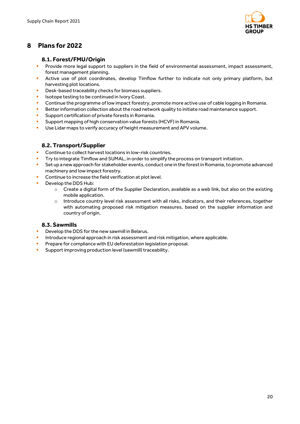

# <span id="page-20-0"></span>**8 Plans for 2022**

## **8.1. Forest/FMU/Origin**

- <span id="page-20-1"></span>**•** Provide more legal support to suppliers in the field of environmental assessment, impact assessment, forest management planning.
- **E** Active use of plot coordinates, develop Timflow further to indicate not only primary platform, but harvesting plot locations.
- **•** Desk-based traceability checks for biomass suppliers.
- Isotope testing to be continued in Ivory Coast.
- **Continue the programme of low impact forestry, promote more active use of cable logging in Romania.**
- Better information collection about the road network quality to initiate road maintenance support.
- **E** Support certification of private forests in Romania.
- Support mapping of high conservation value forests (HCVF) in Romania.
- Use Lidar maps to verify accuracy of height measurement and APV volume.

# **8.2. Transport/Supplier**

- <span id="page-20-2"></span>■ Continue to collect harvest locations in low-risk countries.
- Try to integrate Timflow and SUMAL, in order to simplify the process on transport initiation.
- **•** Set up a new approach for stakeholder events, conduct one in the forest in Romania, to promote advanced machinery and low impact forestry.
- Continue to increase the field verification at plot level.
- Develop the DDS Hub:
	- o Create a digital form of the Supplier Declaration, available as a web link, but also on the existing mobile application.
	- o Introduce country level risk assessment with all risks, indicators, and their references, together with automating proposed risk mitigation measures, based on the supplier information and country of origin.

# **8.3. Sawmills**

- <span id="page-20-3"></span>■ Develop the DDS for the new sawmill in Belarus.
- Introduce regional approach in risk assessment and risk mitigation, where applicable.
- **•** Prepare for compliance with EU deforestation legislation proposal.
- **E** Support improving production level (sawmill) traceability.